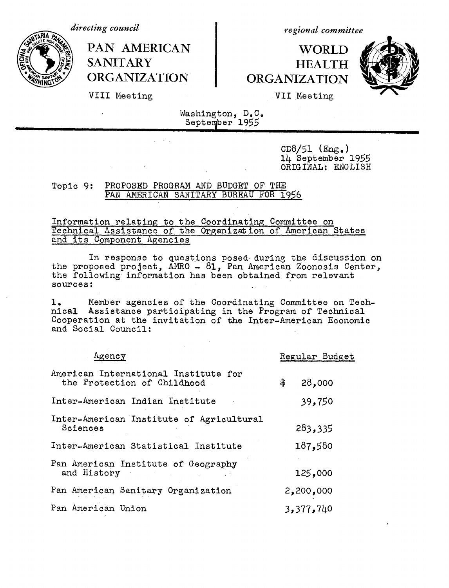*directing council*

*regional committee*

**WORLD HEALTH ORGANIZATION**



VIII Meeting

**SANITARY**

**PAN AMERICAN**

**ORGANIZATION**

VII Meeting

Washington, D.C. September 1955

> $CD8/51$  (Eng.) 14 September 1955 ORIGINAL: ENGLISH

## Topic 9: PROPOSED PROGRAM AND BUDGET OF THE PAN AMERICAN SANITARY BUREAU FOR 1956

 $\mathcal{L}^{\text{max}}$  and  $\mathcal{L}^{\text{max}}$ 

## Information relating to the Coordinating Committee on Technical Assistance of the Organization of American States and its Component Agencies

In response to questions posed during the discussion on the proposed project, AMRO - 81, Pan American Zoonosis Center, the following information has been obtained from relevant sources:

1, Member agencies of the Coordinating Committee on Technical Assistance participating in the Program of Technical Cooperation at the invitation of the Inter-American Economic and Social Council:

| Agency                                                              | Regular Budget |
|---------------------------------------------------------------------|----------------|
| American International Institute for<br>the Protection of Childhood | \$<br>28,000   |
| Inter-American Indian Institute                                     | 39,750         |
| Inter-American Institute of Agricultural<br>Sciences                | 283,335        |
| Inter-American Statistical Institute                                | 187,580        |
| Pan American Institute of Geography<br>and History                  | 125,000        |
| Pan American Sanitary Organization                                  | 2,200,000      |
| Pan American Union                                                  | 3,377,740      |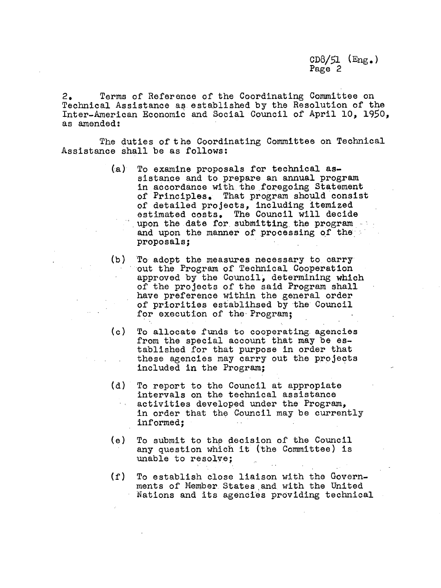2. Terms of Reference of the Coordinating Committee on Technical Assistance as established by the Resolution of the Inter-American Economic and Social Council of April 10, 1950, as amended:

The duties of the Coordinating Committee on Technical Assistance shall be as follows:

- (a) To examine proposals for technical assistance and to prepare an annual program in accordance with the foregoing Statement of Principles. That program should consist of detailed projects, including itemized estimated costs. The Council will decide upon the date for. submitting the program and upon the manner of processing of the proposals;
- (b) To- adopt the measures necessary to carry 'out the Program of Technical Cooperation approved by the Council, determining which of the projects of the said Program shall have preference within the general order of priorities establihsed by the Council for execution of the Program;
- (c) To allocate funds to cooperating. agencies from the special account that may be established for that purpose in order that these agencies may carry out the projects included in the Program;
- (d) To report to the Council at appropiate intervals on the technical assistance activities developed under the Program, in order that the Council may be currently informed;
- (e) To submit to the decision of the Council any question which it (the Committee) is unable to resolve;
- (f) To establish close liaison with the Governments of Member. States and with the United Nations and its agencies providing technical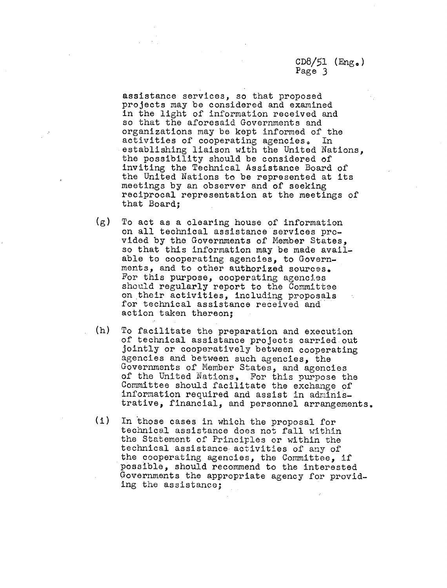assistance services, so that proposed projects may be considered and examined in the light of information received and so that the aforesaid Governments and organizations may be kept informed of the activities of cooperating agencies. In establishing liaison with the United Nations, the possibility should be considered of inviting the Technical Assistance Board of the United Nations to be represented at its meetings by an observer and of seeking reciprocal representation at the meetings of that Board;

- (g) To act as a clearing house of information on all technical assistance services provided by the Governments of Member States, so that this information may be made available to cooperating agencies, to Governments, and to other authorized sources. For this purpose, cooperating agencies should regularly report to the Committee on their activities, including proposals for technical assistance received and action taken thereon;
- (h) To facilitate the preparation and execution of technical assistance projects carried.out jointly or cooperatively between cooperating agencies and between such agencies, the Governments of Member States, and agencies of the United Nations. For this purpose the Committee should facilitate the exchange of information required and assist in administrative, financial, and personnel arrangements.
- (i) In those cases in which the proposal for technical assistance does not fall within the Statement of Principles or within the technical assistance activities of any of the cooperating agencies, the Committee, if possible, should recommend to the interested Governments the appropriate agency for providing the assistance;